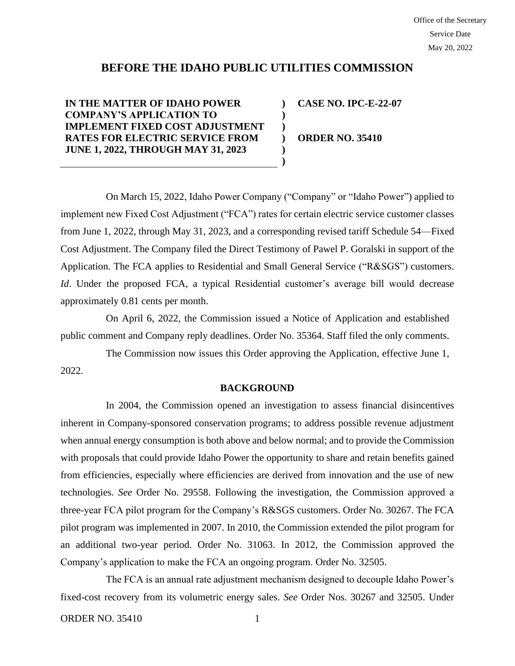# **BEFORE THE IDAHO PUBLIC UTILITIES COMMISSION**

**) ) ) ) ) )**

**IN THE MATTER OF IDAHO POWER COMPANY'S APPLICATION TO IMPLEMENT FIXED COST ADJUSTMENT RATES FOR ELECTRIC SERVICE FROM JUNE 1, 2022, THROUGH MAY 31, 2023**

**CASE NO. IPC-E-22-07**

**ORDER NO. 35410**

On March 15, 2022, Idaho Power Company ("Company" or "Idaho Power") applied to implement new Fixed Cost Adjustment ("FCA") rates for certain electric service customer classes from June 1, 2022, through May 31, 2023, and a corresponding revised tariff Schedule 54—Fixed Cost Adjustment. The Company filed the Direct Testimony of Pawel P. Goralski in support of the Application. The FCA applies to Residential and Small General Service ("R&SGS") customers. *Id*. Under the proposed FCA, a typical Residential customer's average bill would decrease approximately 0.81 cents per month.

On April 6, 2022, the Commission issued a Notice of Application and established public comment and Company reply deadlines. Order No. 35364. Staff filed the only comments.

The Commission now issues this Order approving the Application, effective June 1, 2022.

#### **BACKGROUND**

In 2004, the Commission opened an investigation to assess financial disincentives inherent in Company-sponsored conservation programs; to address possible revenue adjustment when annual energy consumption is both above and below normal; and to provide the Commission with proposals that could provide Idaho Power the opportunity to share and retain benefits gained from efficiencies, especially where efficiencies are derived from innovation and the use of new technologies. *See* Order No. 29558. Following the investigation, the Commission approved a three-year FCA pilot program for the Company's R&SGS customers. Order No. 30267. The FCA pilot program was implemented in 2007. In 2010, the Commission extended the pilot program for an additional two-year period. Order No. 31063. In 2012, the Commission approved the Company's application to make the FCA an ongoing program. Order No. 32505.

The FCA is an annual rate adjustment mechanism designed to decouple Idaho Power's fixed-cost recovery from its volumetric energy sales. *See* Order Nos. 30267 and 32505. Under

ORDER NO. 35410 1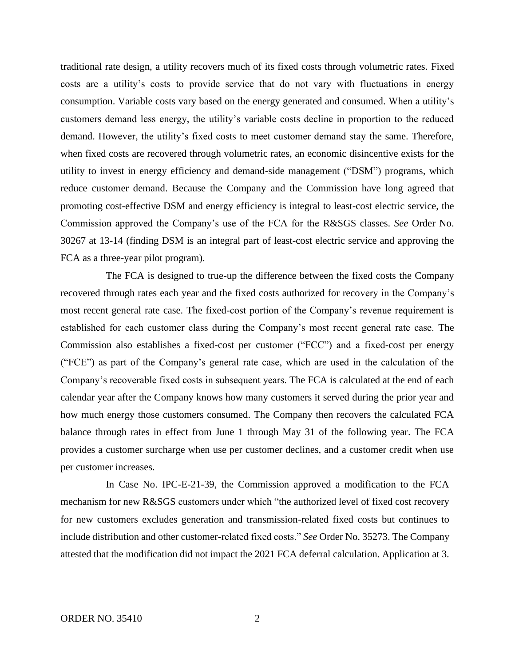traditional rate design, a utility recovers much of its fixed costs through volumetric rates. Fixed costs are a utility's costs to provide service that do not vary with fluctuations in energy consumption. Variable costs vary based on the energy generated and consumed. When a utility's customers demand less energy, the utility's variable costs decline in proportion to the reduced demand. However, the utility's fixed costs to meet customer demand stay the same. Therefore, when fixed costs are recovered through volumetric rates, an economic disincentive exists for the utility to invest in energy efficiency and demand-side management ("DSM") programs, which reduce customer demand. Because the Company and the Commission have long agreed that promoting cost-effective DSM and energy efficiency is integral to least-cost electric service, the Commission approved the Company's use of the FCA for the R&SGS classes. *See* Order No. 30267 at 13-14 (finding DSM is an integral part of least-cost electric service and approving the FCA as a three-year pilot program).

The FCA is designed to true-up the difference between the fixed costs the Company recovered through rates each year and the fixed costs authorized for recovery in the Company's most recent general rate case. The fixed-cost portion of the Company's revenue requirement is established for each customer class during the Company's most recent general rate case. The Commission also establishes a fixed-cost per customer ("FCC") and a fixed-cost per energy ("FCE") as part of the Company's general rate case, which are used in the calculation of the Company's recoverable fixed costs in subsequent years. The FCA is calculated at the end of each calendar year after the Company knows how many customers it served during the prior year and how much energy those customers consumed. The Company then recovers the calculated FCA balance through rates in effect from June 1 through May 31 of the following year. The FCA provides a customer surcharge when use per customer declines, and a customer credit when use per customer increases.

In Case No. IPC-E-21-39, the Commission approved a modification to the FCA mechanism for new R&SGS customers under which "the authorized level of fixed cost recovery for new customers excludes generation and transmission-related fixed costs but continues to include distribution and other customer-related fixed costs." *See* Order No. 35273. The Company attested that the modification did not impact the 2021 FCA deferral calculation. Application at 3.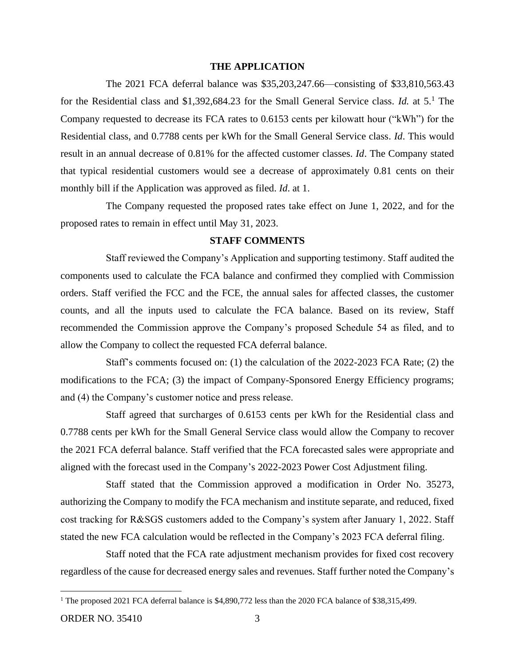### **THE APPLICATION**

The 2021 FCA deferral balance was \$35,203,247.66—consisting of \$33,810,563.43 for the Residential class and \$1,392,684.23 for the Small General Service class. *Id.* at 5.<sup>1</sup> The Company requested to decrease its FCA rates to 0.6153 cents per kilowatt hour ("kWh") for the Residential class, and 0.7788 cents per kWh for the Small General Service class. *Id*. This would result in an annual decrease of 0.81% for the affected customer classes. *Id*. The Company stated that typical residential customers would see a decrease of approximately 0.81 cents on their monthly bill if the Application was approved as filed. *Id*. at 1.

The Company requested the proposed rates take effect on June 1, 2022, and for the proposed rates to remain in effect until May 31, 2023.

### **STAFF COMMENTS**

Staff reviewed the Company's Application and supporting testimony. Staff audited the components used to calculate the FCA balance and confirmed they complied with Commission orders. Staff verified the FCC and the FCE, the annual sales for affected classes, the customer counts, and all the inputs used to calculate the FCA balance. Based on its review, Staff recommended the Commission approve the Company's proposed Schedule 54 as filed, and to allow the Company to collect the requested FCA deferral balance.

Staff's comments focused on: (1) the calculation of the 2022-2023 FCA Rate; (2) the modifications to the FCA; (3) the impact of Company-Sponsored Energy Efficiency programs; and (4) the Company's customer notice and press release.

Staff agreed that surcharges of 0.6153 cents per kWh for the Residential class and 0.7788 cents per kWh for the Small General Service class would allow the Company to recover the 2021 FCA deferral balance. Staff verified that the FCA forecasted sales were appropriate and aligned with the forecast used in the Company's 2022-2023 Power Cost Adjustment filing.

Staff stated that the Commission approved a modification in Order No. 35273, authorizing the Company to modify the FCA mechanism and institute separate, and reduced, fixed cost tracking for R&SGS customers added to the Company's system after January 1, 2022. Staff stated the new FCA calculation would be reflected in the Company's 2023 FCA deferral filing.

Staff noted that the FCA rate adjustment mechanism provides for fixed cost recovery regardless of the cause for decreased energy sales and revenues. Staff further noted the Company's

<sup>&</sup>lt;sup>1</sup> The proposed 2021 FCA deferral balance is \$4,890,772 less than the 2020 FCA balance of \$38,315,499.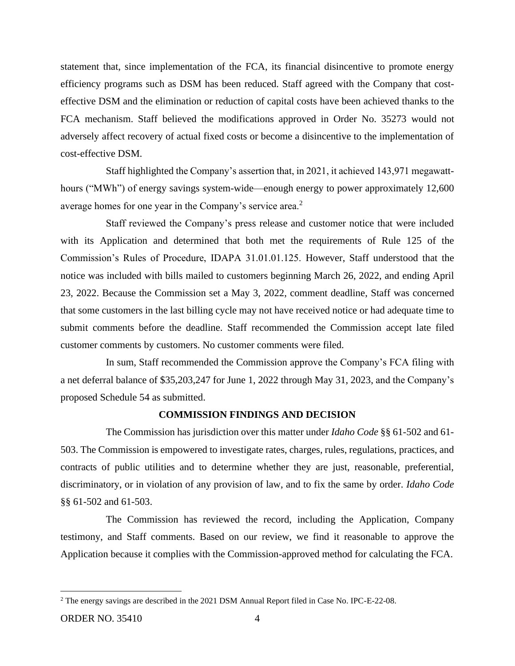statement that, since implementation of the FCA, its financial disincentive to promote energy efficiency programs such as DSM has been reduced. Staff agreed with the Company that costeffective DSM and the elimination or reduction of capital costs have been achieved thanks to the FCA mechanism. Staff believed the modifications approved in Order No. 35273 would not adversely affect recovery of actual fixed costs or become a disincentive to the implementation of cost-effective DSM.

Staff highlighted the Company's assertion that, in 2021, it achieved 143,971 megawatthours ("MWh") of energy savings system-wide—enough energy to power approximately 12,600 average homes for one year in the Company's service area. $2$ 

Staff reviewed the Company's press release and customer notice that were included with its Application and determined that both met the requirements of Rule 125 of the Commission's Rules of Procedure, IDAPA 31.01.01.125. However, Staff understood that the notice was included with bills mailed to customers beginning March 26, 2022, and ending April 23, 2022. Because the Commission set a May 3, 2022, comment deadline, Staff was concerned that some customers in the last billing cycle may not have received notice or had adequate time to submit comments before the deadline. Staff recommended the Commission accept late filed customer comments by customers. No customer comments were filed.

In sum, Staff recommended the Commission approve the Company's FCA filing with a net deferral balance of \$35,203,247 for June 1, 2022 through May 31, 2023, and the Company's proposed Schedule 54 as submitted.

## **COMMISSION FINDINGS AND DECISION**

The Commission has jurisdiction over this matter under *Idaho Code* §§ 61-502 and 61- 503. The Commission is empowered to investigate rates, charges, rules, regulations, practices, and contracts of public utilities and to determine whether they are just, reasonable, preferential, discriminatory, or in violation of any provision of law, and to fix the same by order. *Idaho Code* §§ 61-502 and 61-503.

The Commission has reviewed the record, including the Application, Company testimony, and Staff comments. Based on our review, we find it reasonable to approve the Application because it complies with the Commission-approved method for calculating the FCA.

<sup>2</sup> The energy savings are described in the 2021 DSM Annual Report filed in Case No. IPC-E-22-08.